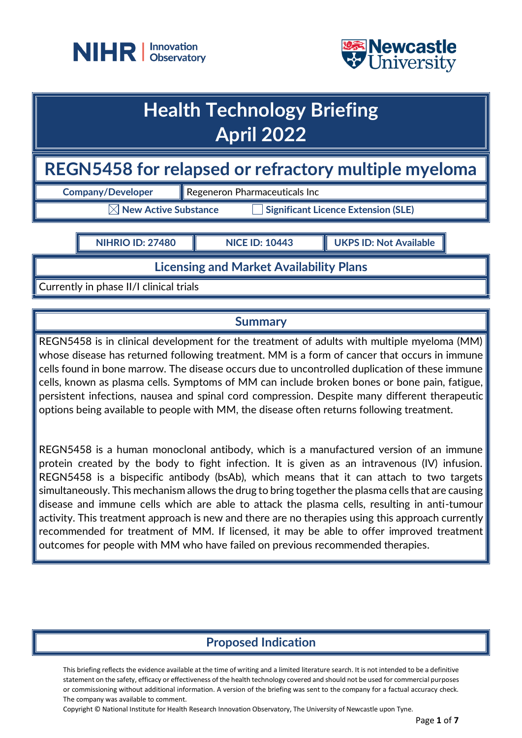



# **Health Technology Briefing April 2022**

# **REGN5458 for relapsed or refractory multiple myeloma**

**Company/Developer Regeneron Pharmaceuticals Inc** 

 $\boxtimes$  New Active Substance  $\qquad \qquad \Box$  Significant Licence Extension (SLE)

**NIHRIO ID: 27480 NICE ID: 10443 UKPS ID: Not Available**

**Licensing and Market Availability Plans**

Currently in phase II/I clinical trials

### **Summary**

REGN5458 is in clinical development for the treatment of adults with multiple myeloma (MM) whose disease has returned following treatment. MM is a form of cancer that occurs in immune cells found in bone marrow. The disease occurs due to uncontrolled duplication of these immune cells, known as plasma cells. Symptoms of MM can include broken bones or bone pain, fatigue, persistent infections, nausea and spinal cord compression. Despite many different therapeutic options being available to people with MM, the disease often returns following treatment.

REGN5458 is a human monoclonal antibody, which is a manufactured version of an immune protein created by the body to fight infection. It is given as an intravenous (IV) infusion. REGN5458 is a bispecific antibody (bsAb), which means that it can attach to two targets simultaneously. This mechanism allows the drug to bring together the plasma cells that are causing disease and immune cells which are able to attack the plasma cells, resulting in anti-tumour activity. This treatment approach is new and there are no therapies using this approach currently recommended for treatment of MM. If licensed, it may be able to offer improved treatment outcomes for people with MM who have failed on previous recommended therapies.

# **Proposed Indication**

This briefing reflects the evidence available at the time of writing and a limited literature search. It is not intended to be a definitive statement on the safety, efficacy or effectiveness of the health technology covered and should not be used for commercial purposes or commissioning without additional information. A version of the briefing was sent to the company for a factual accuracy check. The company was available to comment.

Copyright © National Institute for Health Research Innovation Observatory, The University of Newcastle upon Tyne.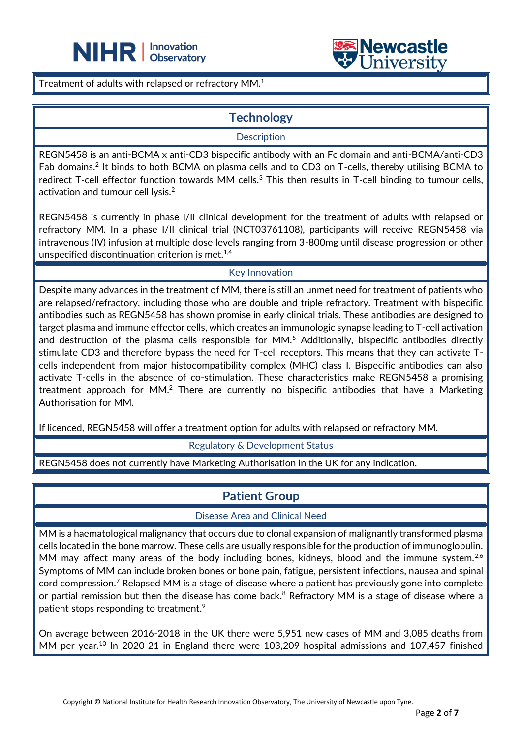



Treatment of adults with relapsed or refractory MM.<sup>1</sup>

### **Technology**

L

**Description** 

REGN5458 is an anti-BCMA x anti-CD3 bispecific antibody with an Fc domain and anti-BCMA/anti-CD3 Fab domains.<sup>2</sup> It binds to both BCMA on plasma cells and to CD3 on T-cells, thereby utilising BCMA to redirect T-cell effector function towards MM cells.<sup>3</sup> This then results in T-cell binding to tumour cells, activation and tumour cell lysis.<sup>2</sup>

REGN5458 is currently in phase I/II clinical development for the treatment of adults with relapsed or refractory MM. In a phase I/II clinical trial (NCT03761108), participants will receive REGN5458 via intravenous (IV) infusion at multiple dose levels ranging from 3-800mg until disease progression or other unspecified discontinuation criterion is met. $1,4$ 

#### Key Innovation

Despite many advances in the treatment of MM, there is still an unmet need for treatment of patients who are relapsed/refractory, including those who are double and triple refractory. Treatment with bispecific antibodies such as REGN5458 has shown promise in early clinical trials. These antibodies are designed to target plasma and immune effector cells, which creates an immunologic synapse leading to T-cell activation and destruction of the plasma cells responsible for MM.<sup>5</sup> Additionally, bispecific antibodies directly stimulate CD3 and therefore bypass the need for T-cell receptors. This means that they can activate Tcells independent from major histocompatibility complex (MHC) class I. Bispecific antibodies can also activate T-cells in the absence of co-stimulation. These characteristics make REGN5458 a promising treatment approach for MM.<sup>2</sup> There are currently no bispecific antibodies that have a Marketing Authorisation for MM.

If licenced, REGN5458 will offer a treatment option for adults with relapsed or refractory MM.

Regulatory & Development Status

REGN5458 does not currently have Marketing Authorisation in the UK for any indication.

# **Patient Group**

#### Disease Area and Clinical Need

MM is a haematological malignancy that occurs due to clonal expansion of malignantly transformed plasma cells located in the bone marrow. These cells are usually responsible for the production of immunoglobulin. MM may affect many areas of the body including bones, kidneys, blood and the immune system.<sup>2,6</sup> Symptoms of MM can include broken bones or bone pain, fatigue, persistent infections, nausea and spinal cord compression.<sup>7</sup> Relapsed MM is a stage of disease where a patient has previously gone into complete or partial remission but then the disease has come back. $^8$  Refractory MM is a stage of disease where a patient stops responding to treatment.<sup>9</sup>

On average between 2016-2018 in the UK there were 5,951 new cases of MM and 3,085 deaths from MM per year.<sup>10</sup> In 2020-21 in England there were 103,209 hospital admissions and 107,457 finished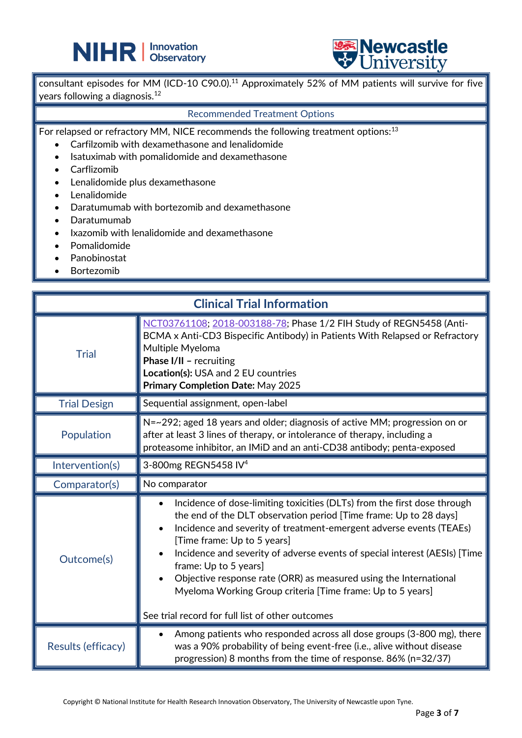



consultant episodes for MM (ICD-10 C90.0).<sup>11</sup> Approximately 52% of MM patients will survive for five years following a diagnosis.<sup>12</sup>

#### Recommended Treatment Options

For relapsed or refractory MM, NICE recommends the following treatment options:<sup>13</sup>

L

- Carfilzomib with dexamethasone and lenalidomide
- Isatuximab with pomalidomide and dexamethasone
- Carflizomib
- Lenalidomide plus dexamethasone
- Lenalidomide
- Daratumumab with bortezomib and dexamethasone
- Daratumumab
- Ixazomib with lenalidomide and dexamethasone
- Pomalidomide
- Panobinostat
- **Bortezomib**

| <b>Clinical Trial Information</b> |                                                                                                                                                                                                                                                                                                                                                                                                                                                                                                                                                                |  |
|-----------------------------------|----------------------------------------------------------------------------------------------------------------------------------------------------------------------------------------------------------------------------------------------------------------------------------------------------------------------------------------------------------------------------------------------------------------------------------------------------------------------------------------------------------------------------------------------------------------|--|
| <b>Trial</b>                      | NCT03761108; 2018-003188-78; Phase 1/2 FIH Study of REGN5458 (Anti-<br>BCMA x Anti-CD3 Bispecific Antibody) in Patients With Relapsed or Refractory<br>Multiple Myeloma<br>Phase I/II - recruiting<br>Location(s): USA and 2 EU countries<br>Primary Completion Date: May 2025                                                                                                                                                                                                                                                                                 |  |
| <b>Trial Design</b>               | Sequential assignment, open-label                                                                                                                                                                                                                                                                                                                                                                                                                                                                                                                              |  |
| Population                        | N=~292; aged 18 years and older; diagnosis of active MM; progression on or<br>after at least 3 lines of therapy, or intolerance of therapy, including a<br>proteasome inhibitor, an IMiD and an anti-CD38 antibody; penta-exposed                                                                                                                                                                                                                                                                                                                              |  |
| Intervention(s)                   | 3-800mg REGN5458 IV <sup>4</sup>                                                                                                                                                                                                                                                                                                                                                                                                                                                                                                                               |  |
| Comparator(s)                     | No comparator                                                                                                                                                                                                                                                                                                                                                                                                                                                                                                                                                  |  |
| Outcome(s)                        | Incidence of dose-limiting toxicities (DLTs) from the first dose through<br>$\bullet$<br>the end of the DLT observation period [Time frame: Up to 28 days]<br>Incidence and severity of treatment-emergent adverse events (TEAEs)<br>[Time frame: Up to 5 years]<br>Incidence and severity of adverse events of special interest (AESIs) [Time<br>frame: Up to 5 years]<br>Objective response rate (ORR) as measured using the International<br>Myeloma Working Group criteria [Time frame: Up to 5 years]<br>See trial record for full list of other outcomes |  |
| Results (efficacy)                | Among patients who responded across all dose groups (3-800 mg), there<br>$\bullet$<br>was a 90% probability of being event-free (i.e., alive without disease<br>progression) 8 months from the time of response. 86% (n=32/37)                                                                                                                                                                                                                                                                                                                                 |  |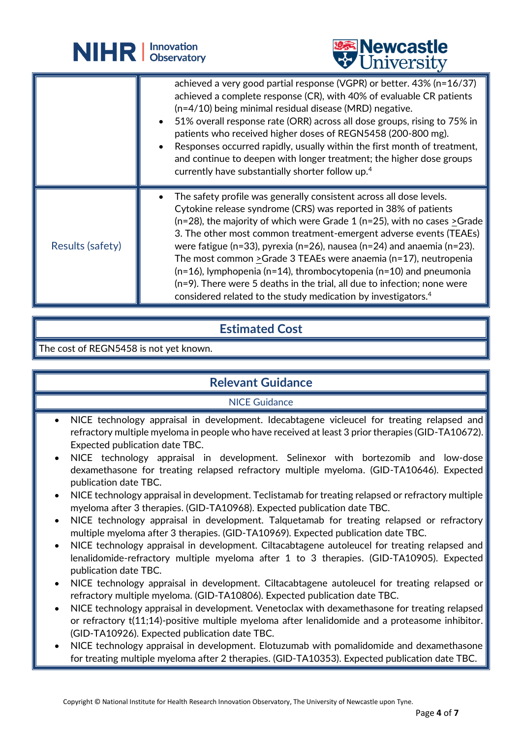|                  | <b>NIHR Children</b> Observatory | <b>Newcastle</b><br>University                                                                                                                                                                                                                                                                                                                                                                                                                                                                                                                                                                                                                                                            |
|------------------|----------------------------------|-------------------------------------------------------------------------------------------------------------------------------------------------------------------------------------------------------------------------------------------------------------------------------------------------------------------------------------------------------------------------------------------------------------------------------------------------------------------------------------------------------------------------------------------------------------------------------------------------------------------------------------------------------------------------------------------|
|                  |                                  | achieved a very good partial response (VGPR) or better. 43% (n=16/37)<br>achieved a complete response (CR), with 40% of evaluable CR patients<br>$(n=4/10)$ being minimal residual disease (MRD) negative.<br>51% overall response rate (ORR) across all dose groups, rising to 75% in<br>patients who received higher doses of REGN5458 (200-800 mg).<br>Responses occurred rapidly, usually within the first month of treatment,<br>and continue to deepen with longer treatment; the higher dose groups<br>currently have substantially shorter follow up. <sup>4</sup>                                                                                                                |
| Results (safety) |                                  | The safety profile was generally consistent across all dose levels.<br>Cytokine release syndrome (CRS) was reported in 38% of patients<br>( $n=28$ ), the majority of which were Grade 1 ( $n=25$ ), with no cases $\geq$ Grade<br>3. The other most common treatment-emergent adverse events (TEAEs)<br>were fatigue (n=33), pyrexia (n=26), nausea (n=24) and anaemia (n=23).<br>The most common $\geq$ Grade 3 TEAEs were anaemia (n=17), neutropenia<br>$(n=16)$ , lymphopenia (n=14), thrombocytopenia (n=10) and pneumonia<br>(n=9). There were 5 deaths in the trial, all due to infection; none were<br>considered related to the study medication by investigators. <sup>4</sup> |

## **Estimated Cost**

The cost of REGN5458 is not yet known.

# **Relevant Guidance**

### NICE Guidance

- NICE technology appraisal in development. Idecabtagene vicleucel for treating relapsed and refractory multiple myeloma in people who have received at least 3 prior therapies (GID-TA10672). Expected publication date TBC.
- NICE technology appraisal in development. Selinexor with bortezomib and low-dose dexamethasone for treating relapsed refractory multiple myeloma. (GID-TA10646). Expected publication date TBC.
- NICE technology appraisal in development. Teclistamab for treating relapsed or refractory multiple myeloma after 3 therapies. (GID-TA10968). Expected publication date TBC.
- NICE technology appraisal in development. Talquetamab for treating relapsed or refractory multiple myeloma after 3 therapies. (GID-TA10969). Expected publication date TBC.
- NICE technology appraisal in development. Ciltacabtagene autoleucel for treating relapsed and lenalidomide-refractory multiple myeloma after 1 to 3 therapies. (GID-TA10905). Expected publication date TBC.
- NICE technology appraisal in development. Ciltacabtagene autoleucel for treating relapsed or refractory multiple myeloma. (GID-TA10806). Expected publication date TBC.
- NICE technology appraisal in development. Venetoclax with dexamethasone for treating relapsed or refractory t(11;14)-positive multiple myeloma after lenalidomide and a proteasome inhibitor. (GID-TA10926). Expected publication date TBC.
- NICE technology appraisal in development. Elotuzumab with pomalidomide and dexamethasone for treating multiple myeloma after 2 therapies. (GID-TA10353). Expected publication date TBC.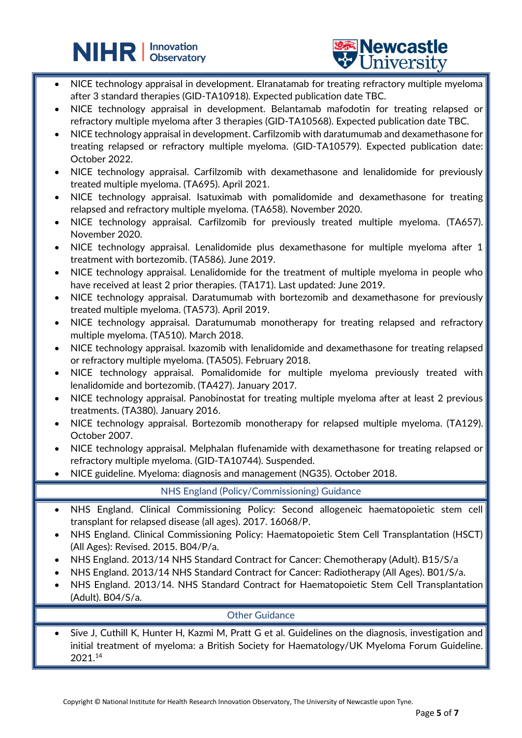



NICE technology appraisal in development. Elranatamab for treating refractory multiple myeloma after 3 standard therapies (GID-TA10918). Expected publication date TBC.

L

- NICE technology appraisal in development. Belantamab mafodotin for treating relapsed or refractory multiple myeloma after 3 therapies (GID-TA10568). Expected publication date TBC.
- NICE technology appraisal in development. Carfilzomib with daratumumab and dexamethasone for treating relapsed or refractory multiple myeloma. (GID-TA10579). Expected publication date: October 2022.
- NICE technology appraisal. Carfilzomib with dexamethasone and lenalidomide for previously treated multiple myeloma. (TA695). April 2021.
- NICE technology appraisal. Isatuximab with pomalidomide and dexamethasone for treating relapsed and refractory multiple myeloma. (TA658). November 2020.
- NICE technology appraisal. Carfilzomib for previously treated multiple myeloma. (TA657). November 2020.
- NICE technology appraisal. Lenalidomide plus dexamethasone for multiple myeloma after  $1$ treatment with bortezomib. (TA586). June 2019.
- NICE technology appraisal. Lenalidomide for the treatment of multiple myeloma in people who have received at least 2 prior therapies. (TA171). Last updated: June 2019.
- NICE technology appraisal. Daratumumab with bortezomib and dexamethasone for previously treated multiple myeloma. (TA573). April 2019.
- NICE technology appraisal. Daratumumab monotherapy for treating relapsed and refractory multiple myeloma. (TA510). March 2018.
- NICE technology appraisal. Ixazomib with lenalidomide and dexamethasone for treating relapsed or refractory multiple myeloma. (TA505). February 2018.
- NICE technology appraisal. Pomalidomide for multiple myeloma previously treated with lenalidomide and bortezomib. (TA427). January 2017.
- NICE technology appraisal. Panobinostat for treating multiple myeloma after at least 2 previous treatments. (TA380). January 2016.
- NICE technology appraisal. Bortezomib monotherapy for relapsed multiple myeloma. (TA129). October 2007.
- NICE technology appraisal. Melphalan flufenamide with dexamethasone for treating relapsed or refractory multiple myeloma. (GID-TA10744). Suspended.
- NICE guideline. Myeloma: diagnosis and management (NG35). October 2018.

NHS England (Policy/Commissioning) Guidance

- NHS England. Clinical Commissioning Policy: Second allogeneic haematopoietic stem cell transplant for relapsed disease (all ages). 2017. 16068/P.
- NHS England. Clinical Commissioning Policy: Haematopoietic Stem Cell Transplantation (HSCT) (All Ages): Revised. 2015. B04/P/a.
- NHS England. 2013/14 NHS Standard Contract for Cancer: Chemotherapy (Adult). B15/S/a
- NHS England. 2013/14 NHS Standard Contract for Cancer: Radiotherapy (All Ages). B01/S/a.
- NHS England. 2013/14. NHS Standard Contract for Haematopoietic Stem Cell Transplantation (Adult). B04/S/a.

#### Other Guidance

• Sive J, Cuthill K, Hunter H, Kazmi M, Pratt G et al. Guidelines on the diagnosis, investigation and initial treatment of myeloma: a British Society for Haematology/UK Myeloma Forum Guideline. 2021.14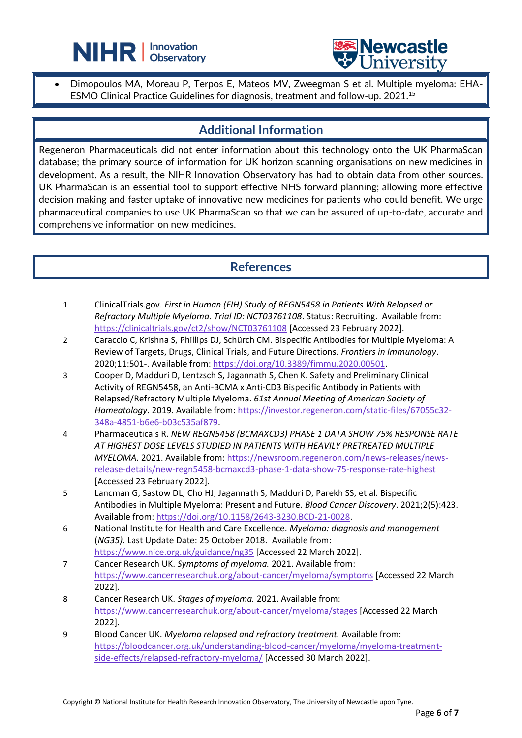



• Dimopoulos MA, Moreau P, Terpos E, Mateos MV, Zweegman S et al. Multiple myeloma: EHA-ESMO Clinical Practice Guidelines for diagnosis, treatment and follow-up. 2021.<sup>15</sup>

L

### **Additional Information**

Regeneron Pharmaceuticals did not enter information about this technology onto the UK PharmaScan database; the primary source of information for UK horizon scanning organisations on new medicines in development. As a result, the NIHR Innovation Observatory has had to obtain data from other sources. UK PharmaScan is an essential tool to support effective NHS forward planning; allowing more effective decision making and faster uptake of innovative new medicines for patients who could benefit. We urge pharmaceutical companies to use UK PharmaScan so that we can be assured of up-to-date, accurate and comprehensive information on new medicines.

### **References**

- 1 ClinicalTrials.gov. *First in Human (FIH) Study of REGN5458 in Patients With Relapsed or Refractory Multiple Myeloma*. *Trial ID: NCT03761108*. Status: Recruiting. Available from: <https://clinicaltrials.gov/ct2/show/NCT03761108> [Accessed 23 February 2022].
- 2 Caraccio C, Krishna S, Phillips DJ, Schürch CM. Bispecific Antibodies for Multiple Myeloma: A Review of Targets, Drugs, Clinical Trials, and Future Directions. *Frontiers in Immunology*. 2020;11:501-. Available from: [https://doi.org/10.3389/fimmu.2020.00501.](https://doi.org/10.3389/fimmu.2020.00501)
- 3 Cooper D, Madduri D, Lentzsch S, Jagannath S, Chen K. Safety and Preliminary Clinical Activity of REGN5458, an Anti-BCMA x Anti-CD3 Bispecific Antibody in Patients with Relapsed/Refractory Multiple Myeloma. *61st Annual Meeting of American Society of Hameatology*. 2019. Available from: [https://investor.regeneron.com/static-files/67055c32-](https://investor.regeneron.com/static-files/67055c32-348a-4851-b6e6-b03c535af879) [348a-4851-b6e6-b03c535af879.](https://investor.regeneron.com/static-files/67055c32-348a-4851-b6e6-b03c535af879)
- 4 Pharmaceuticals R. *NEW REGN5458 (BCMAXCD3) PHASE 1 DATA SHOW 75% RESPONSE RATE AT HIGHEST DOSE LEVELS STUDIED IN PATIENTS WITH HEAVILY PRETREATED MULTIPLE MYELOMA.* 2021. Available from: [https://newsroom.regeneron.com/news-releases/news](https://newsroom.regeneron.com/news-releases/news-release-details/new-regn5458-bcmaxcd3-phase-1-data-show-75-response-rate-highest)[release-details/new-regn5458-bcmaxcd3-phase-1-data-show-75-response-rate-highest](https://newsroom.regeneron.com/news-releases/news-release-details/new-regn5458-bcmaxcd3-phase-1-data-show-75-response-rate-highest) [Accessed 23 February 2022].
- 5 Lancman G, Sastow DL, Cho HJ, Jagannath S, Madduri D, Parekh SS, et al. Bispecific Antibodies in Multiple Myeloma: Present and Future. *Blood Cancer Discovery*. 2021;2(5):423. Available from: [https://doi.org/10.1158/2643-3230.BCD-21-0028.](https://doi.org/10.1158/2643-3230.BCD-21-0028)
- 6 National Institute for Health and Care Excellence. *Myeloma: diagnosis and management* (*NG35)*. Last Update Date: 25 October 2018. Available from: <https://www.nice.org.uk/guidance/ng35> [Accessed 22 March 2022].
- 7 Cancer Research UK. *Symptoms of myeloma.* 2021. Available from: <https://www.cancerresearchuk.org/about-cancer/myeloma/symptoms> [Accessed 22 March 2022].
- 8 Cancer Research UK. *Stages of myeloma.* 2021. Available from: <https://www.cancerresearchuk.org/about-cancer/myeloma/stages> [Accessed 22 March 2022].
- 9 Blood Cancer UK. *Myeloma relapsed and refractory treatment.* Available from: [https://bloodcancer.org.uk/understanding-blood-cancer/myeloma/myeloma-treatment](https://bloodcancer.org.uk/understanding-blood-cancer/myeloma/myeloma-treatment-side-effects/relapsed-refractory-myeloma/)[side-effects/relapsed-refractory-myeloma/](https://bloodcancer.org.uk/understanding-blood-cancer/myeloma/myeloma-treatment-side-effects/relapsed-refractory-myeloma/) [Accessed 30 March 2022].